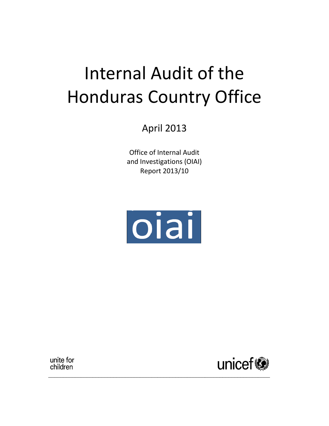# Internal Audit of the Honduras Country Office

April 2013

Office of Internal Audit and Investigations (OIAI) Report 2013/10



\_\_\_\_\_\_\_\_\_\_\_\_\_\_\_\_\_\_\_\_\_\_\_\_\_\_\_\_\_\_\_\_\_\_\_\_\_\_\_\_\_\_\_\_\_\_\_\_\_\_\_\_\_\_\_\_\_\_\_\_\_\_\_\_\_\_\_\_\_\_\_\_\_\_\_

unite for children

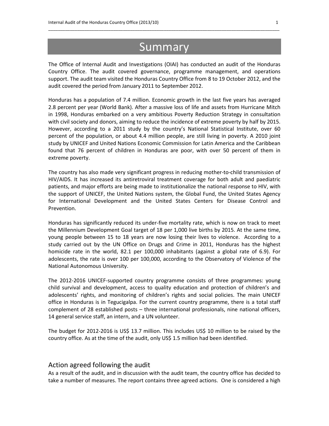## **Summary**

\_\_\_\_\_\_\_\_\_\_\_\_\_\_\_\_\_\_\_\_\_\_\_\_\_\_\_\_\_\_\_\_\_\_\_\_\_\_\_\_\_\_\_\_\_\_\_\_\_\_\_\_\_\_\_\_\_\_\_\_\_\_\_\_\_\_\_\_\_\_\_\_\_\_\_\_\_\_\_\_\_\_\_\_\_\_\_\_\_\_\_\_\_\_\_\_

The Office of Internal Audit and Investigations (OIAI) has conducted an audit of the Honduras Country Office. The audit covered governance, programme management, and operations support. The audit team visited the Honduras Country Office from 8 to 19 October 2012, and the audit covered the period from January 2011 to September 2012.

Honduras has a population of 7.4 million. Economic growth in the last five years has averaged 2.8 percent per year (World Bank). After a massive loss of life and assets from Hurricane Mitch in 1998, Honduras embarked on a very ambitious Poverty Reduction Strategy in consultation with civil society and donors, aiming to reduce the incidence of extreme poverty by half by 2015. However, according to a 2011 study by the country's National Statistical Institute, over 60 percent of the population, or about 4.4 million people, are still living in poverty. A 2010 joint study by UNICEF and United Nations Economic Commission for Latin America and the Caribbean found that 76 percent of children in Honduras are poor, with over 50 percent of them in extreme poverty.

The country has also made very significant progress in reducing mother-to-child transmission of HIV/AIDS. It has increased its antiretroviral treatment coverage for both adult and paediatric patients, and major efforts are being made to institutionalize the national response to HIV, with the support of UNICEF, the United Nations system, the Global Fund, the United States Agency for International Development and the United States Centers for Disease Control and Prevention.

Honduras has significantly reduced its under-five mortality rate, which is now on track to meet the Millennium Development Goal target of 18 per 1,000 live births by 2015. At the same time, young people between 15 to 18 years are now losing their lives to violence. According to a study carried out by the UN Office on Drugs and Crime in 2011, Honduras has the highest homicide rate in the world, 82.1 per 100,000 inhabitants (against a global rate of 6.9). For adolescents, the rate is over 100 per 100,000, according to the Observatory of Violence of the National Autonomous University.

The 2012-2016 UNICEF-supported country programme consists of three programmes: young child survival and development, access to quality education and protection of children's and adolescents' rights, and monitoring of children's rights and social policies. The main UNICEF office in Honduras is in Tegucigalpa. For the current country programme, there is a total staff complement of 28 established posts – three international professionals, nine national officers, 14 general service staff, an intern, and a UN volunteer.

The budget for 2012-2016 is US\$ 13.7 million. This includes US\$ 10 million to be raised by the country office. As at the time of the audit, only US\$ 1.5 million had been identified.

#### Action agreed following the audit

As a result of the audit, and in discussion with the audit team, the country office has decided to take a number of measures. The report contains three agreed actions. One is considered a high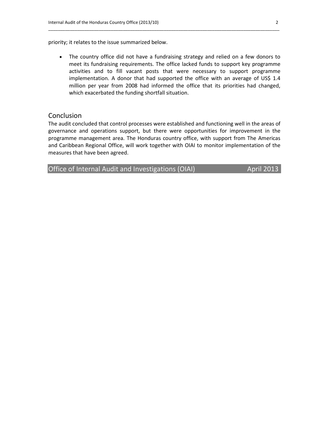priority; it relates to the issue summarized below.

• The country office did not have a fundraising strategy and relied on a few donors to meet its fundraising requirements. The office lacked funds to support key programme activities and to fill vacant posts that were necessary to support programme implementation. A donor that had supported the office with an average of US\$ 1.4 million per year from 2008 had informed the office that its priorities had changed, which exacerbated the funding shortfall situation.

\_\_\_\_\_\_\_\_\_\_\_\_\_\_\_\_\_\_\_\_\_\_\_\_\_\_\_\_\_\_\_\_\_\_\_\_\_\_\_\_\_\_\_\_\_\_\_\_\_\_\_\_\_\_\_\_\_\_\_\_\_\_\_\_\_\_\_\_\_\_\_\_\_\_\_\_\_\_\_\_\_\_\_\_\_\_\_\_\_\_\_\_\_\_\_\_

#### **Conclusion**

The audit concluded that control processes were established and functioning well in the areas of governance and operations support, but there were opportunities for improvement in the programme management area. The Honduras country office, with support from The Americas and Caribbean Regional Office, will work together with OIAI to monitor implementation of the measures that have been agreed.

Office of Internal Audit and Investigations (OIAI) April 2013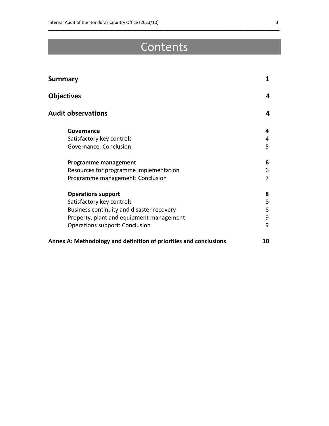## Contents

\_\_\_\_\_\_\_\_\_\_\_\_\_\_\_\_\_\_\_\_\_\_\_\_\_\_\_\_\_\_\_\_\_\_\_\_\_\_\_\_\_\_\_\_\_\_\_\_\_\_\_\_\_\_\_\_\_\_\_\_\_\_\_\_\_\_\_\_\_\_\_\_\_\_\_\_\_\_\_\_\_\_\_\_\_\_\_\_\_\_\_\_\_\_\_\_

| <b>Summary</b><br><b>Objectives</b>                               | 1<br>4 |
|-------------------------------------------------------------------|--------|
|                                                                   |        |
| Governance                                                        | 4      |
| Satisfactory key controls                                         | 4      |
| Governance: Conclusion                                            | 5      |
| <b>Programme management</b>                                       | 6      |
| Resources for programme implementation                            | 6      |
| Programme management: Conclusion                                  | 7      |
| <b>Operations support</b>                                         | 8      |
| Satisfactory key controls                                         | 8      |
| Business continuity and disaster recovery                         | 8      |
| Property, plant and equipment management                          | 9      |
| Operations support: Conclusion                                    | 9      |
| Annex A: Methodology and definition of priorities and conclusions | 10     |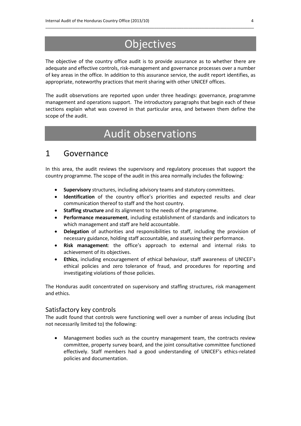## **Objectives**

\_\_\_\_\_\_\_\_\_\_\_\_\_\_\_\_\_\_\_\_\_\_\_\_\_\_\_\_\_\_\_\_\_\_\_\_\_\_\_\_\_\_\_\_\_\_\_\_\_\_\_\_\_\_\_\_\_\_\_\_\_\_\_\_\_\_\_\_\_\_\_\_\_\_\_\_\_\_\_\_\_\_\_\_\_\_\_\_\_\_\_\_

The objective of the country office audit is to provide assurance as to whether there are adequate and effective controls, risk-management and governance processes over a number of key areas in the office. In addition to this assurance service, the audit report identifies, as appropriate, noteworthy practices that merit sharing with other UNICEF offices.

The audit observations are reported upon under three headings: governance, programme management and operations support. The introductory paragraphs that begin each of these sections explain what was covered in that particular area, and between them define the scope of the audit.

## Audit observations

### 1 Governance

In this area, the audit reviews the supervisory and regulatory processes that support the country programme. The scope of the audit in this area normally includes the following*:*

- **Supervisory** structures, including advisory teams and statutory committees.
- **Identification** of the country office's priorities and expected results and clear communication thereof to staff and the host country.
- **Staffing structure** and its alignment to the needs of the programme.
- **Performance measurement**, including establishment of standards and indicators to which management and staff are held accountable.
- **Delegation** of authorities and responsibilities to staff, including the provision of necessary guidance, holding staff accountable, and assessing their performance.
- **Risk management**: the office's approach to external and internal risks to achievement of its objectives.
- **Ethics**, including encouragement of ethical behaviour, staff awareness of UNICEF's ethical policies and zero tolerance of fraud, and procedures for reporting and investigating violations of those policies.

The Honduras audit concentrated on supervisory and staffing structures, risk management and ethics.

#### Satisfactory key controls

The audit found that controls were functioning well over a number of areas including (but not necessarily limited to) the following:

• Management bodies such as the country management team, the contracts review committee, property survey board, and the joint consultative committee functioned effectively. Staff members had a good understanding of UNICEF's ethics-related policies and documentation.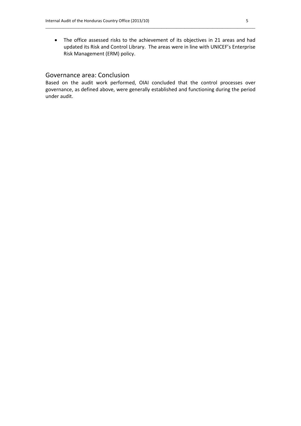• The office assessed risks to the achievement of its objectives in 21 areas and had updated its Risk and Control Library. The areas were in line with UNICEF's Enterprise Risk Management (ERM) policy.

\_\_\_\_\_\_\_\_\_\_\_\_\_\_\_\_\_\_\_\_\_\_\_\_\_\_\_\_\_\_\_\_\_\_\_\_\_\_\_\_\_\_\_\_\_\_\_\_\_\_\_\_\_\_\_\_\_\_\_\_\_\_\_\_\_\_\_\_\_\_\_\_\_\_\_\_\_\_\_\_\_\_\_

#### Governance area: Conclusion

Based on the audit work performed, OIAI concluded that the control processes over governance, as defined above, were generally established and functioning during the period under audit.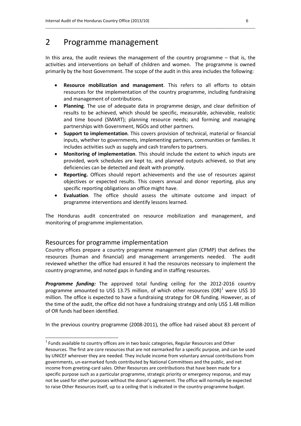### 2 Programme management

In this area, the audit reviews the management of the country programme – that is, the activities and interventions on behalf of children and women. The programme is owned primarily by the host Government. The scope of the audit in this area includes the following:

\_\_\_\_\_\_\_\_\_\_\_\_\_\_\_\_\_\_\_\_\_\_\_\_\_\_\_\_\_\_\_\_\_\_\_\_\_\_\_\_\_\_\_\_\_\_\_\_\_\_\_\_\_\_\_\_\_\_\_\_\_\_\_\_\_\_\_\_\_\_\_\_\_\_\_\_\_\_\_\_\_\_\_

- **Resource mobilization and management**. This refers to all efforts to obtain resources for the implementation of the country programme, including fundraising and management of contributions.
- **Planning**. The use of adequate data in programme design, and clear definition of results to be achieved, which should be specific, measurable, achievable, realistic and time bound (SMART); planning resource needs; and forming and managing partnerships with Government, NGOs and other partners.
- **Support to implementation**. This covers provision of technical, material or financial inputs, whether to governments, implementing partners, communities or families. It includes activities such as supply and cash transfers to partners.
- **Monitoring of implementation**. This should include the extent to which inputs are provided, work schedules are kept to, and planned outputs achieved, so that any deficiencies can be detected and dealt with promptly.
- **Reporting.** Offices should report achievements and the use of resources against objectives or expected results. This covers annual and donor reporting, plus any specific reporting obligations an office might have.
- **Evaluation**. The office should assess the ultimate outcome and impact of programme interventions and identify lessons learned.

The Honduras audit concentrated on resource mobilization and management, and monitoring of programme implementation.

#### Resources for programme implementation

Country offices prepare a country programme management plan (CPMP) that defines the resources (human and financial) and management arrangements needed. The audit reviewed whether the office had ensured it had the resources necessary to implement the country programme, and noted gaps in funding and in staffing resources.

*Programme funding:* The approved total funding ceiling for the 2012-2016 country programme amounted to US\$ 13.75 million, of which other resources  $(OR)^1$  were US\$ 10 million. The office is expected to have a fundraising strategy for OR funding. However, as of the time of the audit, the office did not have a fundraising strategy and only US\$ 1.48 million of OR funds had been identified.

In the previous country programme (2008-2011), the office had raised about 83 percent of

 $1$  Funds available to country offices are in two basic categories, Regular Resources and Other Resources. The first are core resources that are not earmarked for a specific purpose, and can be used by UNICEF wherever they are needed. They include income from voluntary annual contributions from governments, un-earmarked funds contributed by National Committees and the public, and net income from greeting-card sales. Other Resources are contributions that have been made for a specific purpose such as a particular programme, strategic priority or emergency response, and may not be used for other purposes without the donor's agreement. The office will normally be expected to raise Other Resources itself, up to a ceiling that is indicated in the country-programme budget.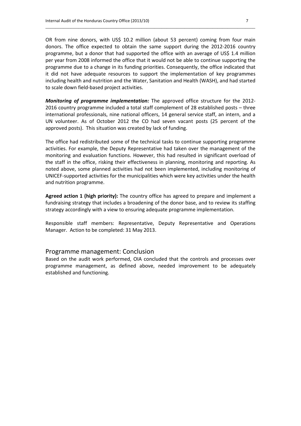OR from nine donors, with US\$ 10.2 million (about 53 percent) coming from four main donors. The office expected to obtain the same support during the 2012-2016 country programme, but a donor that had supported the office with an average of US\$ 1.4 million per year from 2008 informed the office that it would not be able to continue supporting the programme due to a change in its funding priorities. Consequently, the office indicated that it did not have adequate resources to support the implementation of key programmes including health and nutrition and the Water, Sanitation and Health (WASH), and had started to scale down field-based project activities.

\_\_\_\_\_\_\_\_\_\_\_\_\_\_\_\_\_\_\_\_\_\_\_\_\_\_\_\_\_\_\_\_\_\_\_\_\_\_\_\_\_\_\_\_\_\_\_\_\_\_\_\_\_\_\_\_\_\_\_\_\_\_\_\_\_\_\_\_\_\_\_\_\_\_\_\_\_\_\_\_\_\_\_

*Monitoring of programme implementation:* The approved office structure for the 2012- 2016 country programme included a total staff complement of 28 established posts – three international professionals, nine national officers, 14 general service staff, an intern, and a UN volunteer. As of October 2012 the CO had seven vacant posts (25 percent of the approved posts). This situation was created by lack of funding.

The office had redistributed some of the technical tasks to continue supporting programme activities. For example, the Deputy Representative had taken over the management of the monitoring and evaluation functions. However, this had resulted in significant overload of the staff in the office, risking their effectiveness in planning, monitoring and reporting. As noted above, some planned activities had not been implemented, including monitoring of UNICEF-supported activities for the municipalities which were key activities under the health and nutrition programme.

**Agreed action 1 (high priority):** The country office has agreed to prepare and implement a fundraising strategy that includes a broadening of the donor base, and to review its staffing strategy accordingly with a view to ensuring adequate programme implementation.

Responsible staff members: Representative, Deputy Representative and Operations Manager. Action to be completed: 31 May 2013.

#### Programme management: Conclusion

Based on the audit work performed, OIA concluded that the controls and processes over programme management, as defined above, needed improvement to be adequately established and functioning.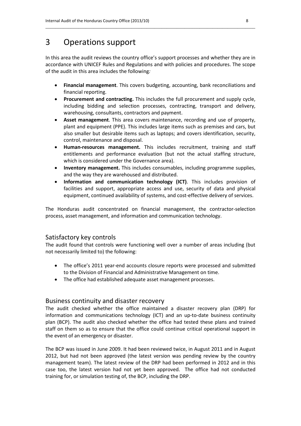## 3 Operations support

In this area the audit reviews the country office's support processes and whether they are in accordance with UNICEF Rules and Regulations and with policies and procedures. The scope of the audit in this area includes the following*:*

\_\_\_\_\_\_\_\_\_\_\_\_\_\_\_\_\_\_\_\_\_\_\_\_\_\_\_\_\_\_\_\_\_\_\_\_\_\_\_\_\_\_\_\_\_\_\_\_\_\_\_\_\_\_\_\_\_\_\_\_\_\_\_\_\_\_\_\_\_\_\_\_\_\_\_\_\_\_\_\_\_\_\_

- **Financial management**. This covers budgeting, accounting, bank reconciliations and financial reporting.
- **Procurement and contracting.** This includes the full procurement and supply cycle, including bidding and selection processes, contracting, transport and delivery, warehousing, consultants, contractors and payment.
- **Asset management**. This area covers maintenance, recording and use of property, plant and equipment (PPE). This includes large items such as premises and cars, but also smaller but desirable items such as laptops; and covers identification, security, control, maintenance and disposal.
- **Human-resources management.** This includes recruitment, training and staff entitlements and performance evaluation (but not the actual staffing structure, which is considered under the Governance area).
- **Inventory management.** This includes consumables, including programme supplies, and the way they are warehoused and distributed.
- **Information and communication technology (ICT)**. This includes provision of facilities and support, appropriate access and use, security of data and physical equipment, continued availability of systems, and cost-effective delivery of services.

The Honduras audit concentrated on financial management, the contractor-selection process, asset management, and information and communication technology.

#### Satisfactory key controls

The audit found that controls were functioning well over a number of areas including (but not necessarily limited to) the following:

- The office's 2011 year-end accounts closure reports were processed and submitted to the Division of Financial and Administrative Management on time.
- The office had established adequate asset management processes.

#### Business continuity and disaster recovery

The audit checked whether the office maintained a disaster recovery plan (DRP) for information and communications technology (ICT) and an up-to-date business continuity plan (BCP). The audit also checked whether the office had tested these plans and trained staff on them so as to ensure that the office could continue critical operational support in the event of an emergency or disaster.

The BCP was issued in June 2009. It had been reviewed twice, in August 2011 and in August 2012, but had not been approved (the latest version was pending review by the country management team). The latest review of the DRP had been performed in 2012 and in this case too, the latest version had not yet been approved. The office had not conducted training for, or simulation testing of, the BCP, including the DRP.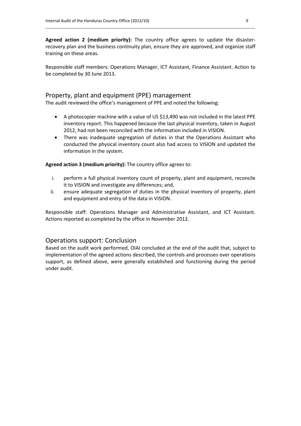**Agreed action 2 (medium priority):** The country office agrees to update the disasterrecovery plan and the business continuity plan, ensure they are approved, and organize staff training on these areas.

\_\_\_\_\_\_\_\_\_\_\_\_\_\_\_\_\_\_\_\_\_\_\_\_\_\_\_\_\_\_\_\_\_\_\_\_\_\_\_\_\_\_\_\_\_\_\_\_\_\_\_\_\_\_\_\_\_\_\_\_\_\_\_\_\_\_\_\_\_\_\_\_\_\_\_\_\_\_\_\_\_\_\_

Responsible staff members: Operations Manager, ICT Assistant, Finance Assistant. Action to be completed by 30 June 2013.

#### Property, plant and equipment (PPE) management

The audit reviewed the office's management of PPE and noted the following:

- A photocopier machine with a value of US \$13,490 was not included in the latest PPE inventory report. This happened because the last physical inventory, taken in August 2012, had not been reconciled with the information included in VISION.
- There was inadequate segregation of duties in that the Operations Assistant who conducted the physical inventory count also had access to VISION and updated the information in the system.

**Agreed action 3 (medium priority):** The country office agrees to:

- i. perform a full physical inventory count of property, plant and equipment, reconcile it to VISION and investigate any differences; and,
- ii. ensure adequate segregation of duties in the physical inventory of property, plant and equipment and entry of the data in VISION.

Responsible staff: Operations Manager and Administrative Assistant, and ICT Assistant. Actions reported as completed by the office in November 2012.

#### Operations support: Conclusion

Based on the audit work performed, OIAI concluded at the end of the audit that, subject to implementation of the agreed actions described, the controls and processes over operations support, as defined above, were generally established and functioning during the period under audit.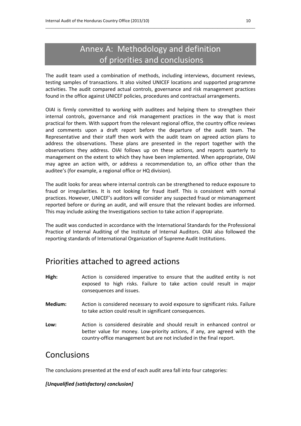## Annex A: Methodology and definition of priorities and conclusions

\_\_\_\_\_\_\_\_\_\_\_\_\_\_\_\_\_\_\_\_\_\_\_\_\_\_\_\_\_\_\_\_\_\_\_\_\_\_\_\_\_\_\_\_\_\_\_\_\_\_\_\_\_\_\_\_\_\_\_\_\_\_\_\_\_\_\_\_\_\_\_\_\_\_\_\_\_\_\_\_\_\_\_

The audit team used a combination of methods, including interviews, document reviews, testing samples of transactions. It also visited UNICEF locations and supported programme activities. The audit compared actual controls, governance and risk management practices found in the office against UNICEF policies, procedures and contractual arrangements.

OIAI is firmly committed to working with auditees and helping them to strengthen their internal controls, governance and risk management practices in the way that is most practical for them. With support from the relevant regional office, the country office reviews and comments upon a draft report before the departure of the audit team. The Representative and their staff then work with the audit team on agreed action plans to address the observations. These plans are presented in the report together with the observations they address. OIAI follows up on these actions, and reports quarterly to management on the extent to which they have been implemented. When appropriate, OIAI may agree an action with, or address a recommendation to, an office other than the auditee's (for example, a regional office or HQ division).

The audit looks for areas where internal controls can be strengthened to reduce exposure to fraud or irregularities. It is not looking for fraud itself. This is consistent with normal practices. However, UNICEF's auditors will consider any suspected fraud or mismanagement reported before or during an audit, and will ensure that the relevant bodies are informed. This may include asking the Investigations section to take action if appropriate.

The audit was conducted in accordance with the International Standards for the Professional Practice of Internal Auditing of the Institute of Internal Auditors. OIAI also followed the reporting standards of International Organization of Supreme Audit Institutions.

## Priorities attached to agreed actions

- **High:** Action is considered imperative to ensure that the audited entity is not exposed to high risks. Failure to take action could result in major consequences and issues.
- **Medium:** Action is considered necessary to avoid exposure to significant risks. Failure to take action could result in significant consequences.
- **Low:** Action is considered desirable and should result in enhanced control or better value for money. Low-priority actions, if any, are agreed with the country-office management but are not included in the final report.

### **Conclusions**

The conclusions presented at the end of each audit area fall into four categories:

#### *[Unqualified (satisfactory) conclusion]*